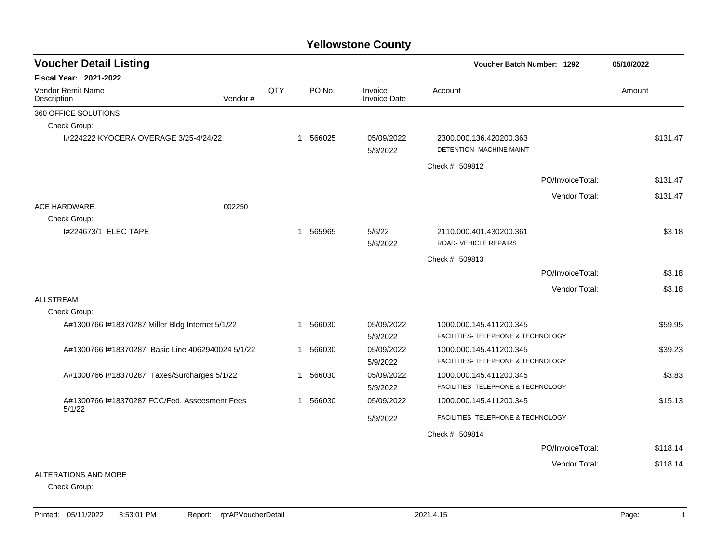| <b>Voucher Detail Listing</b>                           |         |     |              |          |                                |                                                     | Voucher Batch Number: 1292 |          |  |
|---------------------------------------------------------|---------|-----|--------------|----------|--------------------------------|-----------------------------------------------------|----------------------------|----------|--|
| Fiscal Year: 2021-2022                                  |         |     |              |          |                                |                                                     |                            |          |  |
| <b>Vendor Remit Name</b><br>Description                 | Vendor# | QTY |              | PO No.   | Invoice<br><b>Invoice Date</b> | Account                                             |                            | Amount   |  |
| 360 OFFICE SOLUTIONS                                    |         |     |              |          |                                |                                                     |                            |          |  |
| Check Group:                                            |         |     |              |          |                                |                                                     |                            |          |  |
| 1#224222 KYOCERA OVERAGE 3/25-4/24/22                   |         |     |              | 1 566025 | 05/09/2022<br>5/9/2022         | 2300.000.136.420200.363<br>DETENTION- MACHINE MAINT |                            | \$131.47 |  |
|                                                         |         |     |              |          |                                | Check #: 509812                                     |                            |          |  |
|                                                         |         |     |              |          |                                |                                                     | PO/InvoiceTotal:           | \$131.47 |  |
|                                                         |         |     |              |          |                                |                                                     | Vendor Total:              | \$131.47 |  |
| ACE HARDWARE.                                           | 002250  |     |              |          |                                |                                                     |                            |          |  |
| Check Group:                                            |         |     |              |          |                                |                                                     |                            |          |  |
| 1#224673/1 ELEC TAPE                                    |         |     |              | 1 565965 | 5/6/22                         | 2110.000.401.430200.361                             |                            | \$3.18   |  |
|                                                         |         |     |              |          | 5/6/2022                       | ROAD-VEHICLE REPAIRS                                |                            |          |  |
|                                                         |         |     |              |          |                                | Check #: 509813                                     |                            |          |  |
|                                                         |         |     |              |          |                                |                                                     | PO/InvoiceTotal:           | \$3.18   |  |
|                                                         |         |     |              |          |                                |                                                     | Vendor Total:              | \$3.18   |  |
| <b>ALLSTREAM</b>                                        |         |     |              |          |                                |                                                     |                            |          |  |
| Check Group:                                            |         |     |              |          |                                |                                                     |                            |          |  |
| A#1300766 I#18370287 Miller Bldg Internet 5/1/22        |         |     |              | 1 566030 | 05/09/2022                     | 1000.000.145.411200.345                             |                            | \$59.95  |  |
|                                                         |         |     |              |          | 5/9/2022                       | FACILITIES- TELEPHONE & TECHNOLOGY                  |                            |          |  |
| A#1300766 l#18370287 Basic Line 4062940024 5/1/22       |         |     |              | 1 566030 | 05/09/2022                     | 1000.000.145.411200.345                             |                            | \$39.23  |  |
|                                                         |         |     |              |          | 5/9/2022                       | FACILITIES- TELEPHONE & TECHNOLOGY                  |                            |          |  |
| A#1300766 l#18370287 Taxes/Surcharges 5/1/22            |         |     | $\mathbf{1}$ | 566030   | 05/09/2022                     | 1000.000.145.411200.345                             |                            | \$3.83   |  |
|                                                         |         |     |              |          | 5/9/2022                       | FACILITIES- TELEPHONE & TECHNOLOGY                  |                            |          |  |
| A#1300766 I#18370287 FCC/Fed, Asseesment Fees<br>5/1/22 |         |     |              | 1 566030 | 05/09/2022                     | 1000.000.145.411200.345                             |                            | \$15.13  |  |
|                                                         |         |     |              |          | 5/9/2022                       | FACILITIES- TELEPHONE & TECHNOLOGY                  |                            |          |  |
|                                                         |         |     |              |          |                                | Check #: 509814                                     |                            |          |  |
|                                                         |         |     |              |          |                                |                                                     | PO/InvoiceTotal:           | \$118.14 |  |
|                                                         |         |     |              |          |                                |                                                     | Vendor Total:              | \$118.14 |  |
| ALTERATIONS AND MORE                                    |         |     |              |          |                                |                                                     |                            |          |  |
| Check Group:                                            |         |     |              |          |                                |                                                     |                            |          |  |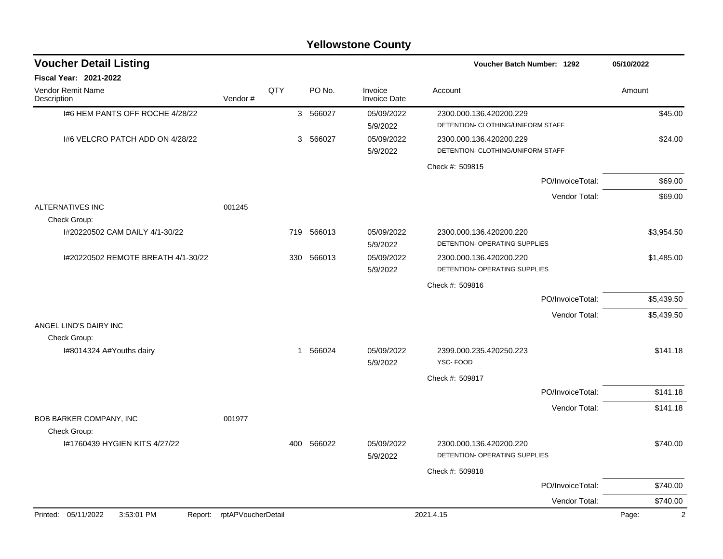| <b>Yellowstone County</b> |  |
|---------------------------|--|
|---------------------------|--|

| <b>Voucher Detail Listing</b>                |                    |     |          |                                | Voucher Batch Number: 1292                               | 05/10/2022                     |
|----------------------------------------------|--------------------|-----|----------|--------------------------------|----------------------------------------------------------|--------------------------------|
| <b>Fiscal Year: 2021-2022</b>                |                    |     |          |                                |                                                          |                                |
| Vendor Remit Name<br>Description             | Vendor#            | QTY | PO No.   | Invoice<br><b>Invoice Date</b> | Account                                                  | Amount                         |
| 1#6 HEM PANTS OFF ROCHE 4/28/22              |                    |     | 3 566027 | 05/09/2022                     | 2300.000.136.420200.229                                  | \$45.00                        |
|                                              |                    |     |          | 5/9/2022                       | DETENTION- CLOTHING/UNIFORM STAFF                        |                                |
| 1#6 VELCRO PATCH ADD ON 4/28/22              |                    |     | 3 566027 | 05/09/2022                     | 2300.000.136.420200.229                                  | \$24.00                        |
|                                              |                    |     |          | 5/9/2022                       | DETENTION- CLOTHING/UNIFORM STAFF                        |                                |
|                                              |                    |     |          |                                | Check #: 509815                                          |                                |
|                                              |                    |     |          |                                |                                                          | PO/InvoiceTotal:<br>\$69.00    |
|                                              |                    |     |          |                                |                                                          | Vendor Total:<br>\$69.00       |
| <b>ALTERNATIVES INC</b>                      | 001245             |     |          |                                |                                                          |                                |
| Check Group:                                 |                    |     |          |                                |                                                          |                                |
| I#20220502 CAM DAILY 4/1-30/22               |                    | 719 | 566013   | 05/09/2022                     | 2300.000.136.420200.220                                  | \$3,954.50                     |
|                                              |                    |     |          | 5/9/2022                       | DETENTION- OPERATING SUPPLIES                            |                                |
| I#20220502 REMOTE BREATH 4/1-30/22           |                    | 330 | 566013   | 05/09/2022<br>5/9/2022         | 2300.000.136.420200.220<br>DETENTION- OPERATING SUPPLIES | \$1,485.00                     |
|                                              |                    |     |          |                                | Check #: 509816                                          |                                |
|                                              |                    |     |          |                                |                                                          | PO/InvoiceTotal:<br>\$5,439.50 |
|                                              |                    |     |          |                                |                                                          | Vendor Total:<br>\$5,439.50    |
| ANGEL LIND'S DAIRY INC                       |                    |     |          |                                |                                                          |                                |
| Check Group:                                 |                    |     |          |                                |                                                          |                                |
| I#8014324 A#Youths dairy                     |                    |     | 1 566024 | 05/09/2022<br>5/9/2022         | 2399.000.235.420250.223<br>YSC-FOOD                      | \$141.18                       |
|                                              |                    |     |          |                                | Check #: 509817                                          |                                |
|                                              |                    |     |          |                                |                                                          | \$141.18<br>PO/InvoiceTotal:   |
|                                              |                    |     |          |                                |                                                          | Vendor Total:<br>\$141.18      |
| <b>BOB BARKER COMPANY, INC</b>               | 001977             |     |          |                                |                                                          |                                |
| Check Group:                                 |                    |     |          |                                |                                                          |                                |
| I#1760439 HYGIEN KITS 4/27/22                |                    | 400 | 566022   | 05/09/2022<br>5/9/2022         | 2300.000.136.420200.220<br>DETENTION- OPERATING SUPPLIES | \$740.00                       |
|                                              |                    |     |          |                                | Check #: 509818                                          |                                |
|                                              |                    |     |          |                                |                                                          | PO/InvoiceTotal:<br>\$740.00   |
|                                              |                    |     |          |                                |                                                          | Vendor Total:<br>\$740.00      |
| Printed: 05/11/2022<br>3:53:01 PM<br>Report: | rptAPVoucherDetail |     |          |                                | 2021.4.15                                                | $\overline{2}$<br>Page:        |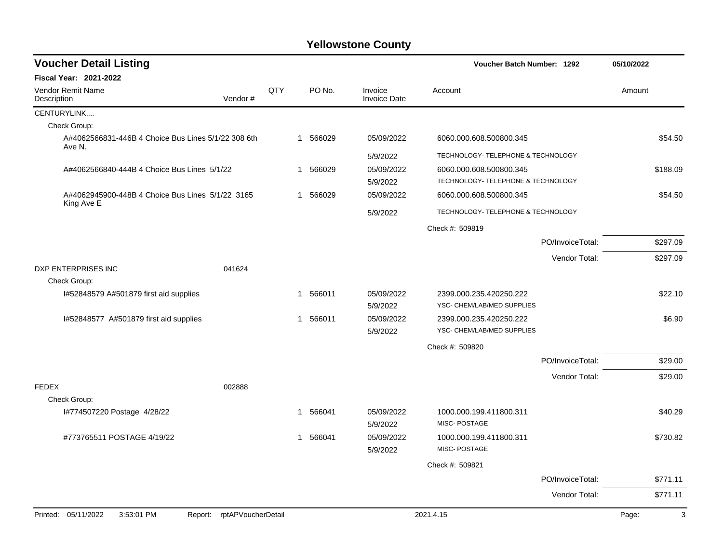| <b>Voucher Detail Listing</b>                                  |                            |     |   |          |                                | Voucher Batch Number: 1292                            |                  | 05/10/2022 |
|----------------------------------------------------------------|----------------------------|-----|---|----------|--------------------------------|-------------------------------------------------------|------------------|------------|
| <b>Fiscal Year: 2021-2022</b>                                  |                            |     |   |          |                                |                                                       |                  |            |
| Vendor Remit Name<br>Description                               | Vendor#                    | QTY |   | PO No.   | Invoice<br><b>Invoice Date</b> | Account                                               |                  | Amount     |
| CENTURYLINK                                                    |                            |     |   |          |                                |                                                       |                  |            |
| Check Group:                                                   |                            |     |   |          |                                |                                                       |                  |            |
| A#4062566831-446B 4 Choice Bus Lines 5/1/22 308 6th<br>Ave N.  |                            |     |   | 1 566029 | 05/09/2022                     | 6060.000.608.500800.345                               |                  | \$54.50    |
|                                                                |                            |     |   |          | 5/9/2022                       | TECHNOLOGY- TELEPHONE & TECHNOLOGY                    |                  |            |
| A#4062566840-444B 4 Choice Bus Lines 5/1/22                    |                            |     | 1 | 566029   | 05/09/2022                     | 6060.000.608.500800.345                               |                  | \$188.09   |
|                                                                |                            |     |   |          | 5/9/2022                       | TECHNOLOGY- TELEPHONE & TECHNOLOGY                    |                  |            |
| A#4062945900-448B 4 Choice Bus Lines 5/1/22 3165<br>King Ave E |                            |     | 1 | 566029   | 05/09/2022                     | 6060.000.608.500800.345                               |                  | \$54.50    |
|                                                                |                            |     |   |          | 5/9/2022                       | TECHNOLOGY- TELEPHONE & TECHNOLOGY                    |                  |            |
|                                                                |                            |     |   |          |                                | Check #: 509819                                       |                  |            |
|                                                                |                            |     |   |          |                                |                                                       | PO/InvoiceTotal: | \$297.09   |
|                                                                |                            |     |   |          |                                |                                                       | Vendor Total:    | \$297.09   |
| DXP ENTERPRISES INC<br>Check Group:                            | 041624                     |     |   |          |                                |                                                       |                  |            |
| I#52848579 A#501879 first aid supplies                         |                            |     | 1 | 566011   | 05/09/2022<br>5/9/2022         | 2399.000.235.420250.222<br>YSC- CHEM/LAB/MED SUPPLIES |                  | \$22.10    |
| I#52848577 A#501879 first aid supplies                         |                            |     | 1 | 566011   | 05/09/2022<br>5/9/2022         | 2399.000.235.420250.222<br>YSC- CHEM/LAB/MED SUPPLIES |                  | \$6.90     |
|                                                                |                            |     |   |          |                                | Check #: 509820                                       |                  |            |
|                                                                |                            |     |   |          |                                |                                                       | PO/InvoiceTotal: | \$29.00    |
|                                                                |                            |     |   |          |                                |                                                       | Vendor Total:    | \$29.00    |
| <b>FEDEX</b>                                                   | 002888                     |     |   |          |                                |                                                       |                  |            |
| Check Group:<br>I#774507220 Postage 4/28/22                    |                            |     | 1 | 566041   | 05/09/2022<br>5/9/2022         | 1000.000.199.411800.311<br>MISC-POSTAGE               |                  | \$40.29    |
| #773765511 POSTAGE 4/19/22                                     |                            |     | 1 | 566041   | 05/09/2022<br>5/9/2022         | 1000.000.199.411800.311<br>MISC-POSTAGE               |                  | \$730.82   |
|                                                                |                            |     |   |          |                                | Check #: 509821                                       |                  |            |
|                                                                |                            |     |   |          |                                |                                                       | PO/InvoiceTotal: | \$771.11   |
|                                                                |                            |     |   |          |                                |                                                       | Vendor Total:    | \$771.11   |
| Printed: 05/11/2022<br>3:53:01 PM                              | Report: rptAPVoucherDetail |     |   |          |                                | 2021.4.15                                             |                  | 3<br>Page: |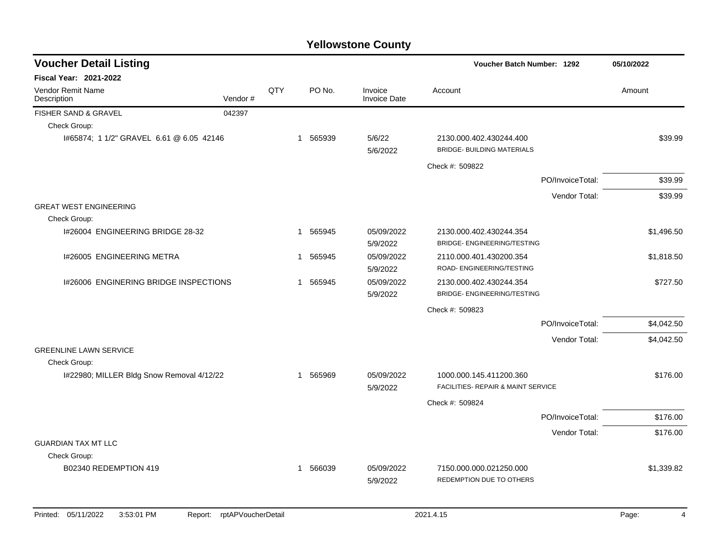| <b>Voucher Detail Listing</b>                 |         |              |          |                                | Voucher Batch Number: 1292                                    |                  | 05/10/2022 |
|-----------------------------------------------|---------|--------------|----------|--------------------------------|---------------------------------------------------------------|------------------|------------|
| <b>Fiscal Year: 2021-2022</b>                 |         |              |          |                                |                                                               |                  |            |
| Vendor Remit Name<br>Description              | Vendor# | QTY          | PO No.   | Invoice<br><b>Invoice Date</b> | Account                                                       |                  | Amount     |
| FISHER SAND & GRAVEL                          | 042397  |              |          |                                |                                                               |                  |            |
| Check Group:                                  |         |              |          |                                |                                                               |                  |            |
| I#65874; 1 1/2" GRAVEL 6.61 @ 6.05 42146      |         | $\mathbf 1$  | 565939   | 5/6/22<br>5/6/2022             | 2130.000.402.430244.400<br><b>BRIDGE- BUILDING MATERIALS</b>  |                  | \$39.99    |
|                                               |         |              |          |                                | Check #: 509822                                               |                  |            |
|                                               |         |              |          |                                |                                                               | PO/InvoiceTotal: | \$39.99    |
|                                               |         |              |          |                                |                                                               | Vendor Total:    | \$39.99    |
| <b>GREAT WEST ENGINEERING</b>                 |         |              |          |                                |                                                               |                  |            |
| Check Group:                                  |         |              |          |                                |                                                               |                  |            |
| I#26004 ENGINEERING BRIDGE 28-32              |         |              | 1 565945 | 05/09/2022<br>5/9/2022         | 2130.000.402.430244.354<br><b>BRIDGE- ENGINEERING/TESTING</b> |                  | \$1,496.50 |
| 1#26005 ENGINEERING METRA                     |         | 1            | 565945   | 05/09/2022<br>5/9/2022         | 2110.000.401.430200.354<br>ROAD- ENGINEERING/TESTING          |                  | \$1,818.50 |
| 1#26006 ENGINERING BRIDGE INSPECTIONS         |         | $\mathbf{1}$ | 565945   | 05/09/2022<br>5/9/2022         | 2130.000.402.430244.354<br><b>BRIDGE- ENGINEERING/TESTING</b> |                  | \$727.50   |
|                                               |         |              |          |                                | Check #: 509823                                               |                  |            |
|                                               |         |              |          |                                |                                                               | PO/InvoiceTotal: | \$4,042.50 |
|                                               |         |              |          |                                |                                                               | Vendor Total:    | \$4,042.50 |
| <b>GREENLINE LAWN SERVICE</b><br>Check Group: |         |              |          |                                |                                                               |                  |            |
| I#22980; MILLER Bldg Snow Removal 4/12/22     |         |              | 1 565969 | 05/09/2022<br>5/9/2022         | 1000.000.145.411200.360<br>FACILITIES- REPAIR & MAINT SERVICE |                  | \$176.00   |
|                                               |         |              |          |                                | Check #: 509824                                               |                  |            |
|                                               |         |              |          |                                |                                                               | PO/InvoiceTotal: | \$176.00   |
|                                               |         |              |          |                                |                                                               | Vendor Total:    | \$176.00   |
| <b>GUARDIAN TAX MT LLC</b>                    |         |              |          |                                |                                                               |                  |            |
| Check Group:                                  |         |              |          |                                |                                                               |                  |            |
| B02340 REDEMPTION 419                         |         |              | 1 566039 | 05/09/2022<br>5/9/2022         | 7150.000.000.021250.000<br>REDEMPTION DUE TO OTHERS           |                  | \$1,339.82 |
|                                               |         |              |          |                                |                                                               |                  |            |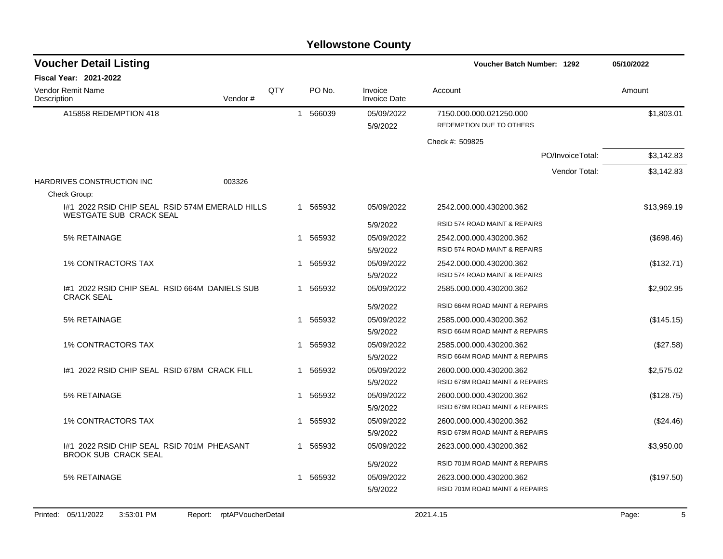| <b>Voucher Detail Listing</b>                                                     |         |     |              |          |                                | Voucher Batch Number: 1292                          | 05/10/2022  |
|-----------------------------------------------------------------------------------|---------|-----|--------------|----------|--------------------------------|-----------------------------------------------------|-------------|
| <b>Fiscal Year: 2021-2022</b>                                                     |         |     |              |          |                                |                                                     |             |
| Vendor Remit Name<br>Description                                                  | Vendor# | QTY |              | PO No.   | Invoice<br><b>Invoice Date</b> | Account                                             | Amount      |
| A15858 REDEMPTION 418                                                             |         |     |              | 1 566039 | 05/09/2022<br>5/9/2022         | 7150.000.000.021250.000<br>REDEMPTION DUE TO OTHERS | \$1,803.01  |
|                                                                                   |         |     |              |          |                                | Check #: 509825                                     |             |
|                                                                                   |         |     |              |          |                                | PO/InvoiceTotal:                                    | \$3,142.83  |
|                                                                                   |         |     |              |          |                                | Vendor Total:                                       | \$3,142.83  |
| HARDRIVES CONSTRUCTION INC                                                        | 003326  |     |              |          |                                |                                                     |             |
| Check Group:                                                                      |         |     |              |          |                                |                                                     |             |
| 1#1 2022 RSID CHIP SEAL RSID 574M EMERALD HILLS<br><b>WESTGATE SUB CRACK SEAL</b> |         |     |              | 1 565932 | 05/09/2022                     | 2542.000.000.430200.362                             | \$13,969.19 |
|                                                                                   |         |     |              |          | 5/9/2022                       | RSID 574 ROAD MAINT & REPAIRS                       |             |
| 5% RETAINAGE                                                                      |         |     |              | 1 565932 | 05/09/2022                     | 2542.000.000.430200.362                             | (\$698.46)  |
|                                                                                   |         |     |              |          | 5/9/2022                       | RSID 574 ROAD MAINT & REPAIRS                       |             |
| <b>1% CONTRACTORS TAX</b>                                                         |         |     | 1            | 565932   | 05/09/2022                     | 2542.000.000.430200.362                             | (\$132.71)  |
|                                                                                   |         |     |              |          | 5/9/2022                       | RSID 574 ROAD MAINT & REPAIRS                       |             |
| 1#1 2022 RSID CHIP SEAL RSID 664M DANIELS SUB<br><b>CRACK SEAL</b>                |         |     |              | 1 565932 | 05/09/2022                     | 2585.000.000.430200.362                             | \$2,902.95  |
|                                                                                   |         |     |              |          | 5/9/2022                       | RSID 664M ROAD MAINT & REPAIRS                      |             |
| 5% RETAINAGE                                                                      |         |     | $\mathbf{1}$ | 565932   | 05/09/2022                     | 2585.000.000.430200.362                             | (\$145.15)  |
|                                                                                   |         |     |              |          | 5/9/2022                       | RSID 664M ROAD MAINT & REPAIRS                      |             |
| <b>1% CONTRACTORS TAX</b>                                                         |         |     | 1            | 565932   | 05/09/2022                     | 2585.000.000.430200.362                             | (\$27.58)   |
|                                                                                   |         |     |              |          | 5/9/2022                       | RSID 664M ROAD MAINT & REPAIRS                      |             |
| 1#1 2022 RSID CHIP SEAL RSID 678M CRACK FILL                                      |         |     |              | 1 565932 | 05/09/2022                     | 2600.000.000.430200.362                             | \$2,575.02  |
|                                                                                   |         |     |              |          | 5/9/2022                       | RSID 678M ROAD MAINT & REPAIRS                      |             |
| 5% RETAINAGE                                                                      |         |     | $\mathbf 1$  | 565932   | 05/09/2022                     | 2600.000.000.430200.362                             | (\$128.75)  |
|                                                                                   |         |     |              |          | 5/9/2022                       | RSID 678M ROAD MAINT & REPAIRS                      |             |
| <b>1% CONTRACTORS TAX</b>                                                         |         |     | -1           | 565932   | 05/09/2022                     | 2600.000.000.430200.362                             | (\$24.46)   |
|                                                                                   |         |     |              |          | 5/9/2022                       | RSID 678M ROAD MAINT & REPAIRS                      |             |
| 1#1 2022 RSID CHIP SEAL RSID 701M PHEASANT<br><b>BROOK SUB CRACK SEAL</b>         |         |     | 1            | 565932   | 05/09/2022                     | 2623.000.000.430200.362                             | \$3,950.00  |
|                                                                                   |         |     |              |          | 5/9/2022                       | RSID 701M ROAD MAINT & REPAIRS                      |             |
| 5% RETAINAGE                                                                      |         |     |              | 1 565932 | 05/09/2022                     | 2623.000.000.430200.362                             | (\$197.50)  |
|                                                                                   |         |     |              |          | 5/9/2022                       | RSID 701M ROAD MAINT & REPAIRS                      |             |
|                                                                                   |         |     |              |          |                                |                                                     |             |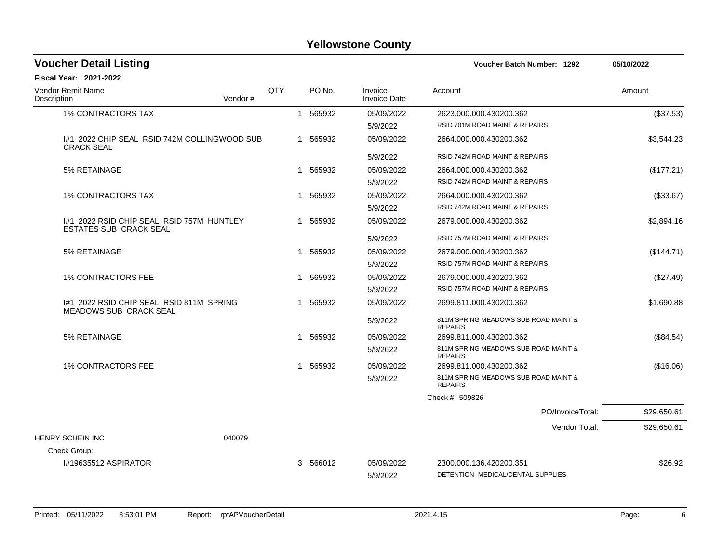| <b>Voucher Detail Listing</b>                                              |         |     |              |          | <b>Voucher Batch Number: 1292</b> | 05/10/2022                                                |             |
|----------------------------------------------------------------------------|---------|-----|--------------|----------|-----------------------------------|-----------------------------------------------------------|-------------|
| Fiscal Year: 2021-2022                                                     |         |     |              |          |                                   |                                                           |             |
| <b>Vendor Remit Name</b><br>Description                                    | Vendor# | QTY |              | PO No.   | Invoice<br><b>Invoice Date</b>    | Account                                                   | Amount      |
| <b>1% CONTRACTORS TAX</b>                                                  |         |     |              | 1 565932 | 05/09/2022<br>5/9/2022            | 2623.000.000.430200.362<br>RSID 701M ROAD MAINT & REPAIRS | (\$37.53)   |
| 1#1 2022 CHIP SEAL RSID 742M COLLINGWOOD SUB<br><b>CRACK SEAL</b>          |         |     |              | 1 565932 | 05/09/2022                        | 2664.000.000.430200.362                                   | \$3,544.23  |
|                                                                            |         |     |              |          | 5/9/2022                          | RSID 742M ROAD MAINT & REPAIRS                            |             |
| 5% RETAINAGE                                                               |         |     | $\mathbf 1$  | 565932   | 05/09/2022                        | 2664.000.000.430200.362                                   | (\$177.21)  |
|                                                                            |         |     |              |          | 5/9/2022                          | RSID 742M ROAD MAINT & REPAIRS                            |             |
| <b>1% CONTRACTORS TAX</b>                                                  |         |     | 1            | 565932   | 05/09/2022                        | 2664.000.000.430200.362                                   | (\$33.67)   |
|                                                                            |         |     |              |          | 5/9/2022                          | RSID 742M ROAD MAINT & REPAIRS                            |             |
| 1#1 2022 RSID CHIP SEAL RSID 757M HUNTLEY<br><b>ESTATES SUB CRACK SEAL</b> |         |     |              | 1 565932 | 05/09/2022                        | 2679.000.000.430200.362                                   | \$2,894.16  |
|                                                                            |         |     |              |          | 5/9/2022                          | RSID 757M ROAD MAINT & REPAIRS                            |             |
| 5% RETAINAGE                                                               |         |     |              | 1 565932 | 05/09/2022                        | 2679.000.000.430200.362                                   | (\$144.71)  |
|                                                                            |         |     |              |          | 5/9/2022                          | RSID 757M ROAD MAINT & REPAIRS                            |             |
| <b>1% CONTRACTORS FEE</b>                                                  |         |     | 1            | 565932   | 05/09/2022                        | 2679.000.000.430200.362                                   | (\$27.49)   |
|                                                                            |         |     |              |          | 5/9/2022                          | <b>RSID 757M ROAD MAINT &amp; REPAIRS</b>                 |             |
| #1 2022 RSID CHIP SEAL RSID 811M SPRING<br>MEADOWS SUB CRACK SEAL          |         |     | 1            | 565932   | 05/09/2022                        | 2699.811.000.430200.362                                   | \$1,690.88  |
|                                                                            |         |     |              |          | 5/9/2022                          | 811M SPRING MEADOWS SUB ROAD MAINT &<br><b>REPAIRS</b>    |             |
| 5% RETAINAGE                                                               |         |     |              | 1 565932 | 05/09/2022                        | 2699.811.000.430200.362                                   | (\$84.54)   |
|                                                                            |         |     |              |          | 5/9/2022                          | 811M SPRING MEADOWS SUB ROAD MAINT &<br><b>REPAIRS</b>    |             |
| <b>1% CONTRACTORS FEE</b>                                                  |         |     | $\mathbf{1}$ | 565932   | 05/09/2022                        | 2699.811.000.430200.362                                   | (\$16.06)   |
|                                                                            |         |     |              |          | 5/9/2022                          | 811M SPRING MEADOWS SUB ROAD MAINT &<br><b>REPAIRS</b>    |             |
|                                                                            |         |     |              |          |                                   | Check #: 509826                                           |             |
|                                                                            |         |     |              |          |                                   | PO/InvoiceTotal:                                          | \$29,650.61 |
| <b>HENRY SCHEIN INC</b>                                                    | 040079  |     |              |          |                                   | Vendor Total:                                             | \$29,650.61 |
| Check Group:                                                               |         |     |              |          |                                   |                                                           |             |
| #19635512 ASPIRATOR                                                        |         |     |              | 3 566012 | 05/09/2022                        | 2300.000.136.420200.351                                   | \$26.92     |
|                                                                            |         |     |              |          | 5/9/2022                          | DETENTION- MEDICAL/DENTAL SUPPLIES                        |             |
|                                                                            |         |     |              |          |                                   |                                                           |             |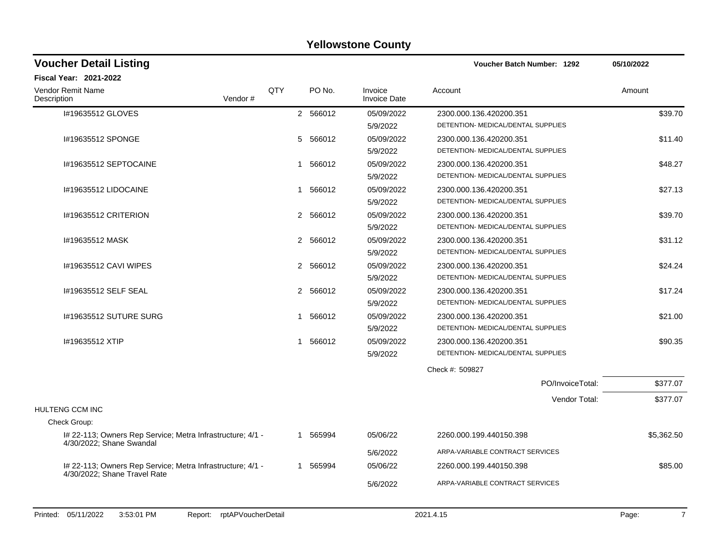| <b>Voucher Detail Listing</b>                                                              |     |                          |                                | <b>Voucher Batch Number: 1292</b>  | 05/10/2022 |
|--------------------------------------------------------------------------------------------|-----|--------------------------|--------------------------------|------------------------------------|------------|
| <b>Fiscal Year: 2021-2022</b>                                                              |     |                          |                                |                                    |            |
| <b>Vendor Remit Name</b><br>Vendor#<br>Description                                         | QTY | PO No.                   | Invoice<br><b>Invoice Date</b> | Account                            | Amount     |
| I#19635512 GLOVES                                                                          |     | 2 566012                 | 05/09/2022                     | 2300.000.136.420200.351            | \$39.70    |
|                                                                                            |     |                          | 5/9/2022                       | DETENTION- MEDICAL/DENTAL SUPPLIES |            |
| I#19635512 SPONGE                                                                          |     | 5<br>566012              | 05/09/2022                     | 2300.000.136.420200.351            | \$11.40    |
|                                                                                            |     |                          | 5/9/2022                       | DETENTION- MEDICAL/DENTAL SUPPLIES |            |
| I#19635512 SEPTOCAINE                                                                      |     | 566012<br>1              | 05/09/2022                     | 2300.000.136.420200.351            | \$48.27    |
|                                                                                            |     |                          | 5/9/2022                       | DETENTION- MEDICAL/DENTAL SUPPLIES |            |
| 1#19635512 LIDOCAINE                                                                       |     | 566012<br>-1             | 05/09/2022                     | 2300.000.136.420200.351            | \$27.13    |
|                                                                                            |     |                          | 5/9/2022                       | DETENTION- MEDICAL/DENTAL SUPPLIES |            |
| 1#19635512 CRITERION                                                                       |     | 2 566012                 | 05/09/2022                     | 2300.000.136.420200.351            | \$39.70    |
|                                                                                            |     |                          | 5/9/2022                       | DETENTION- MEDICAL/DENTAL SUPPLIES |            |
| I#19635512 MASK                                                                            |     | 2 566012                 | 05/09/2022                     | 2300.000.136.420200.351            | \$31.12    |
|                                                                                            |     |                          | 5/9/2022                       | DETENTION- MEDICAL/DENTAL SUPPLIES |            |
| 1#19635512 CAVI WIPES                                                                      |     | 566012<br>2              | 05/09/2022                     | 2300.000.136.420200.351            | \$24.24    |
|                                                                                            |     |                          | 5/9/2022                       | DETENTION- MEDICAL/DENTAL SUPPLIES |            |
| 1#19635512 SELF SEAL                                                                       |     | $\overline{2}$<br>566012 | 05/09/2022                     | 2300.000.136.420200.351            | \$17.24    |
|                                                                                            |     |                          | 5/9/2022                       | DETENTION- MEDICAL/DENTAL SUPPLIES |            |
| 1#19635512 SUTURE SURG                                                                     |     | 1 566012                 | 05/09/2022                     | 2300.000.136.420200.351            | \$21.00    |
|                                                                                            |     |                          | 5/9/2022                       | DETENTION- MEDICAL/DENTAL SUPPLIES |            |
| #19635512 XTIP                                                                             |     | 1 566012                 | 05/09/2022                     | 2300.000.136.420200.351            | \$90.35    |
|                                                                                            |     |                          | 5/9/2022                       | DETENTION- MEDICAL/DENTAL SUPPLIES |            |
|                                                                                            |     |                          |                                | Check #: 509827                    |            |
|                                                                                            |     |                          |                                | PO/InvoiceTotal:                   | \$377.07   |
|                                                                                            |     |                          |                                | Vendor Total:                      | \$377.07   |
| HULTENG CCM INC                                                                            |     |                          |                                |                                    |            |
| Check Group:                                                                               |     |                          |                                |                                    |            |
| I# 22-113; Owners Rep Service; Metra Infrastructure; 4/1 -<br>4/30/2022; Shane Swandal     |     | 1 565994                 | 05/06/22                       | 2260.000.199.440150.398            | \$5,362.50 |
|                                                                                            |     |                          | 5/6/2022                       | ARPA-VARIABLE CONTRACT SERVICES    |            |
| I# 22-113; Owners Rep Service; Metra Infrastructure; 4/1 -<br>4/30/2022; Shane Travel Rate |     | 1 565994                 | 05/06/22                       | 2260.000.199.440150.398            | \$85.00    |
|                                                                                            |     |                          | 5/6/2022                       | ARPA-VARIABLE CONTRACT SERVICES    |            |
|                                                                                            |     |                          |                                |                                    |            |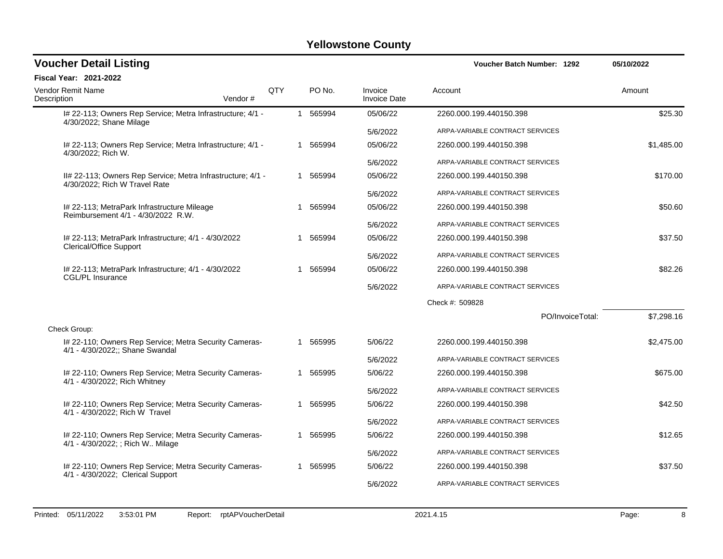| <b>Voucher Detail Listing</b>                                                                |         |     |              |          |                                | Voucher Batch Number: 1292      |                  | 05/10/2022 |
|----------------------------------------------------------------------------------------------|---------|-----|--------------|----------|--------------------------------|---------------------------------|------------------|------------|
| <b>Fiscal Year: 2021-2022</b>                                                                |         |     |              |          |                                |                                 |                  |            |
| <b>Vendor Remit Name</b><br>Description                                                      | Vendor# | QTY |              | PO No.   | Invoice<br><b>Invoice Date</b> | Account                         |                  | Amount     |
| I# 22-113; Owners Rep Service; Metra Infrastructure; 4/1 -<br>4/30/2022; Shane Milage        |         |     |              | 1 565994 | 05/06/22                       | 2260.000.199.440150.398         |                  | \$25.30    |
|                                                                                              |         |     |              |          | 5/6/2022                       | ARPA-VARIABLE CONTRACT SERVICES |                  |            |
| I# 22-113; Owners Rep Service; Metra Infrastructure; 4/1 -<br>4/30/2022; Rich W.             |         |     |              | 1 565994 | 05/06/22                       | 2260.000.199.440150.398         |                  | \$1,485.00 |
|                                                                                              |         |     |              |          | 5/6/2022                       | ARPA-VARIABLE CONTRACT SERVICES |                  |            |
| II# 22-113; Owners Rep Service; Metra Infrastructure; 4/1 -<br>4/30/2022; Rich W Travel Rate |         |     |              | 1 565994 | 05/06/22                       | 2260.000.199.440150.398         |                  | \$170.00   |
|                                                                                              |         |     |              |          | 5/6/2022                       | ARPA-VARIABLE CONTRACT SERVICES |                  |            |
| I# 22-113; MetraPark Infrastructure Mileage<br>Reimbursement 4/1 - 4/30/2022 R.W.            |         |     | $\mathbf{1}$ | 565994   | 05/06/22                       | 2260.000.199.440150.398         |                  | \$50.60    |
|                                                                                              |         |     |              |          | 5/6/2022                       | ARPA-VARIABLE CONTRACT SERVICES |                  |            |
| I# 22-113; MetraPark Infrastructure; 4/1 - 4/30/2022<br><b>Clerical/Office Support</b>       |         |     |              | 1 565994 | 05/06/22                       | 2260.000.199.440150.398         |                  | \$37.50    |
|                                                                                              |         |     |              |          | 5/6/2022                       | ARPA-VARIABLE CONTRACT SERVICES |                  |            |
| I# 22-113; MetraPark Infrastructure; 4/1 - 4/30/2022<br>CGL/PL Insurance                     |         |     |              | 1 565994 | 05/06/22                       | 2260.000.199.440150.398         |                  | \$82.26    |
|                                                                                              |         |     |              |          | 5/6/2022                       | ARPA-VARIABLE CONTRACT SERVICES |                  |            |
|                                                                                              |         |     |              |          |                                | Check #: 509828                 |                  |            |
|                                                                                              |         |     |              |          |                                |                                 | PO/InvoiceTotal: | \$7,298.16 |
| Check Group:                                                                                 |         |     |              |          |                                |                                 |                  |            |
| I# 22-110; Owners Rep Service; Metra Security Cameras-<br>4/1 - 4/30/2022;; Shane Swandal    |         |     |              | 1 565995 | 5/06/22                        | 2260.000.199.440150.398         |                  | \$2,475.00 |
|                                                                                              |         |     |              |          | 5/6/2022                       | ARPA-VARIABLE CONTRACT SERVICES |                  |            |
| I# 22-110; Owners Rep Service; Metra Security Cameras-<br>4/1 - 4/30/2022; Rich Whitney      |         |     |              | 1 565995 | 5/06/22                        | 2260.000.199.440150.398         |                  | \$675.00   |
|                                                                                              |         |     |              |          | 5/6/2022                       | ARPA-VARIABLE CONTRACT SERVICES |                  |            |
| I# 22-110; Owners Rep Service; Metra Security Cameras-<br>4/1 - 4/30/2022; Rich W Travel     |         |     |              | 1 565995 | 5/06/22                        | 2260.000.199.440150.398         |                  | \$42.50    |
|                                                                                              |         |     |              |          | 5/6/2022                       | ARPA-VARIABLE CONTRACT SERVICES |                  |            |
| I# 22-110; Owners Rep Service; Metra Security Cameras-<br>4/1 - 4/30/2022; ; Rich W Milage   |         |     |              | 1 565995 | 5/06/22                        | 2260.000.199.440150.398         |                  | \$12.65    |
|                                                                                              |         |     |              |          | 5/6/2022                       | ARPA-VARIABLE CONTRACT SERVICES |                  |            |
| I# 22-110; Owners Rep Service; Metra Security Cameras-<br>4/1 - 4/30/2022; Clerical Support  |         |     |              | 565995   | 5/06/22                        | 2260.000.199.440150.398         |                  | \$37.50    |
|                                                                                              |         |     |              |          | 5/6/2022                       | ARPA-VARIABLE CONTRACT SERVICES |                  |            |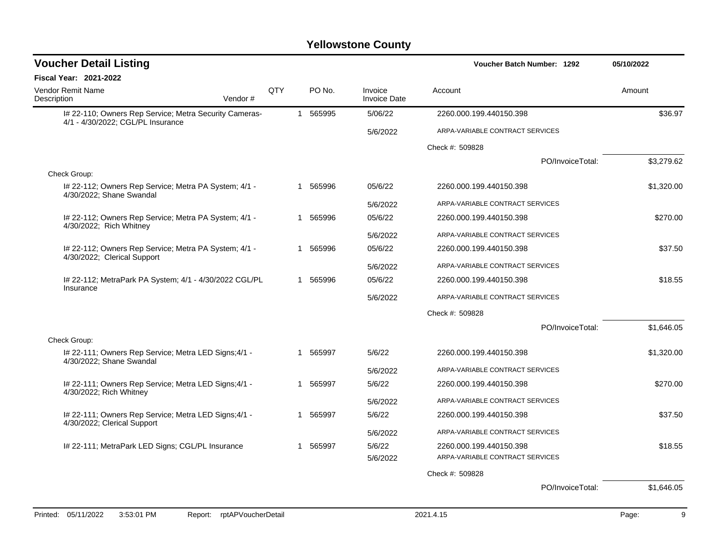| <b>Voucher Detail Listing</b>                                                               |     |              |                  |                                | Voucher Batch Number: 1292      | 05/10/2022 |
|---------------------------------------------------------------------------------------------|-----|--------------|------------------|--------------------------------|---------------------------------|------------|
| <b>Fiscal Year: 2021-2022</b>                                                               |     |              |                  |                                |                                 |            |
| <b>Vendor Remit Name</b><br>Description<br>Vendor#                                          | QTY |              | PO <sub>No</sub> | Invoice<br><b>Invoice Date</b> | Account                         | Amount     |
| I# 22-110; Owners Rep Service; Metra Security Cameras-<br>4/1 - 4/30/2022; CGL/PL Insurance |     | $\mathbf{1}$ | 565995           | 5/06/22                        | 2260.000.199.440150.398         | \$36.97    |
|                                                                                             |     |              |                  | 5/6/2022                       | ARPA-VARIABLE CONTRACT SERVICES |            |
|                                                                                             |     |              |                  |                                | Check #: 509828                 |            |
|                                                                                             |     |              |                  |                                | PO/InvoiceTotal:                | \$3,279.62 |
| Check Group:                                                                                |     |              |                  |                                |                                 |            |
| I# 22-112; Owners Rep Service; Metra PA System; 4/1 -<br>4/30/2022; Shane Swandal           |     | 1            | 565996           | 05/6/22                        | 2260.000.199.440150.398         | \$1,320.00 |
|                                                                                             |     |              |                  | 5/6/2022                       | ARPA-VARIABLE CONTRACT SERVICES |            |
| I# 22-112; Owners Rep Service; Metra PA System; 4/1 -<br>4/30/2022; Rich Whitney            |     |              | 565996           | 05/6/22                        | 2260.000.199.440150.398         | \$270.00   |
|                                                                                             |     |              |                  | 5/6/2022                       | ARPA-VARIABLE CONTRACT SERVICES |            |
| I# 22-112; Owners Rep Service; Metra PA System; 4/1 -<br>4/30/2022; Clerical Support        |     | 1            | 565996           | 05/6/22                        | 2260.000.199.440150.398         | \$37.50    |
|                                                                                             |     |              |                  | 5/6/2022                       | ARPA-VARIABLE CONTRACT SERVICES |            |
| I# 22-112; MetraPark PA System; 4/1 - 4/30/2022 CGL/PL                                      |     | 1            | 565996           | 05/6/22                        | 2260.000.199.440150.398         | \$18.55    |
| Insurance                                                                                   |     |              |                  | 5/6/2022                       | ARPA-VARIABLE CONTRACT SERVICES |            |
|                                                                                             |     |              |                  |                                | Check #: 509828                 |            |
|                                                                                             |     |              |                  |                                | PO/InvoiceTotal:                | \$1,646.05 |
| Check Group:                                                                                |     |              |                  |                                |                                 |            |
| I# 22-111; Owners Rep Service; Metra LED Signs: 4/1 -<br>4/30/2022; Shane Swandal           |     | 1            | 565997           | 5/6/22                         | 2260.000.199.440150.398         | \$1,320.00 |
|                                                                                             |     |              |                  | 5/6/2022                       | ARPA-VARIABLE CONTRACT SERVICES |            |
| I# 22-111; Owners Rep Service; Metra LED Signs; 4/1 -<br>4/30/2022; Rich Whitney            |     | 1            | 565997           | 5/6/22                         | 2260.000.199.440150.398         | \$270.00   |
|                                                                                             |     |              |                  | 5/6/2022                       | ARPA-VARIABLE CONTRACT SERVICES |            |
| I# 22-111; Owners Rep Service; Metra LED Signs; 4/1 -                                       |     | 1            | 565997           | 5/6/22                         | 2260.000.199.440150.398         | \$37.50    |
| 4/30/2022; Clerical Support                                                                 |     |              |                  | 5/6/2022                       | ARPA-VARIABLE CONTRACT SERVICES |            |
| I# 22-111; MetraPark LED Signs; CGL/PL Insurance                                            |     | 1            | 565997           | 5/6/22                         | 2260.000.199.440150.398         | \$18.55    |
|                                                                                             |     |              |                  | 5/6/2022                       | ARPA-VARIABLE CONTRACT SERVICES |            |
|                                                                                             |     |              |                  |                                | Check #: 509828                 |            |
|                                                                                             |     |              |                  |                                | PO/InvoiceTotal:                | \$1,646.05 |
|                                                                                             |     |              |                  |                                |                                 |            |
| rptAPVoucherDetail<br>Printed: 05/11/2022<br>3:53:01 PM<br>Report:                          |     |              |                  |                                | 2021.4.15                       | 9<br>Page: |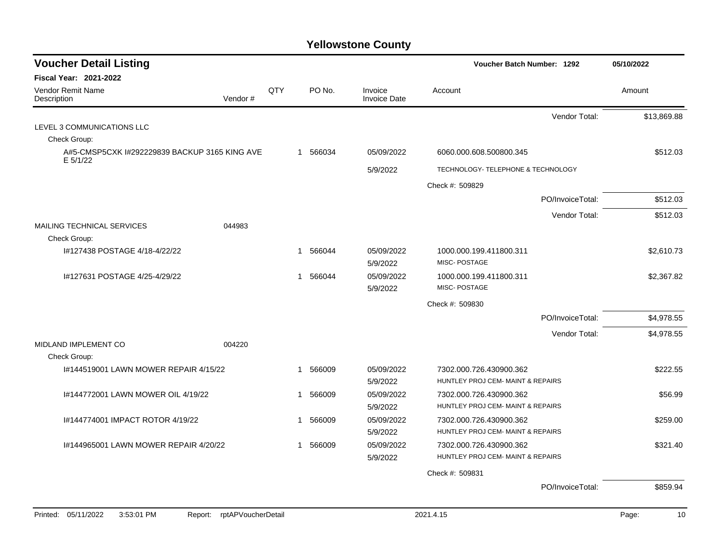| <b>Voucher Detail Listing</b><br>Voucher Batch Number: 1292 |                    |             | 05/10/2022             |                                |                                                              |                  |             |
|-------------------------------------------------------------|--------------------|-------------|------------------------|--------------------------------|--------------------------------------------------------------|------------------|-------------|
| <b>Fiscal Year: 2021-2022</b>                               |                    |             |                        |                                |                                                              |                  |             |
| Vendor Remit Name<br>Description                            | Vendor#            | QTY         | PO No.                 | Invoice<br><b>Invoice Date</b> | Account                                                      |                  | Amount      |
|                                                             |                    |             |                        |                                |                                                              | Vendor Total:    | \$13,869.88 |
| LEVEL 3 COMMUNICATIONS LLC                                  |                    |             |                        |                                |                                                              |                  |             |
| Check Group:                                                |                    |             |                        |                                |                                                              |                  |             |
| A#5-CMSP5CXK I#292229839 BACKUP 3165 KING AVE<br>E 5/1/22   |                    |             | 1 566034               | 05/09/2022                     | 6060.000.608.500800.345                                      |                  | \$512.03    |
|                                                             |                    |             |                        | 5/9/2022                       | TECHNOLOGY- TELEPHONE & TECHNOLOGY                           |                  |             |
|                                                             |                    |             |                        |                                | Check #: 509829                                              |                  |             |
|                                                             |                    |             |                        |                                |                                                              | PO/InvoiceTotal: | \$512.03    |
|                                                             |                    |             |                        |                                |                                                              | Vendor Total:    | \$512.03    |
| MAILING TECHNICAL SERVICES<br>Check Group:                  | 044983             |             |                        |                                |                                                              |                  |             |
| I#127438 POSTAGE 4/18-4/22/22                               |                    | $\mathbf 1$ | 566044                 | 05/09/2022<br>5/9/2022         | 1000.000.199.411800.311<br>MISC-POSTAGE                      |                  | \$2.610.73  |
| I#127631 POSTAGE 4/25-4/29/22                               |                    | $\mathbf 1$ | 566044                 | 05/09/2022<br>5/9/2022         | 1000.000.199.411800.311<br>MISC-POSTAGE                      |                  | \$2,367.82  |
|                                                             |                    |             |                        |                                | Check #: 509830                                              |                  |             |
|                                                             |                    |             |                        |                                |                                                              | PO/InvoiceTotal: | \$4,978.55  |
|                                                             |                    |             |                        |                                |                                                              | Vendor Total:    | \$4,978.55  |
| MIDLAND IMPLEMENT CO<br>Check Group:                        | 004220             |             |                        |                                |                                                              |                  |             |
| 1#144519001 LAWN MOWER REPAIR 4/15/22                       |                    |             | 566009<br>$\mathbf{1}$ | 05/09/2022                     | 7302.000.726.430900.362                                      |                  | \$222.55    |
|                                                             |                    |             |                        | 5/9/2022                       | HUNTLEY PROJ CEM- MAINT & REPAIRS                            |                  |             |
| 1#144772001 LAWN MOWER OIL 4/19/22                          |                    | 1           | 566009                 | 05/09/2022<br>5/9/2022         | 7302.000.726.430900.362<br>HUNTLEY PROJ CEM- MAINT & REPAIRS |                  | \$56.99     |
| I#144774001 IMPACT ROTOR 4/19/22                            |                    | 1           | 566009                 | 05/09/2022                     | 7302.000.726.430900.362                                      |                  | \$259.00    |
|                                                             |                    |             |                        | 5/9/2022                       | HUNTLEY PROJ CEM- MAINT & REPAIRS                            |                  |             |
| 1#144965001 LAWN MOWER REPAIR 4/20/22                       |                    | -1          | 566009                 | 05/09/2022<br>5/9/2022         | 7302.000.726.430900.362<br>HUNTLEY PROJ CEM- MAINT & REPAIRS |                  | \$321.40    |
|                                                             |                    |             |                        |                                | Check #: 509831                                              |                  |             |
|                                                             |                    |             |                        |                                |                                                              | PO/InvoiceTotal: | \$859.94    |
|                                                             |                    |             |                        |                                |                                                              |                  |             |
| 05/11/2022<br>3:53:01 PM<br>Printed:<br>Report:             | rptAPVoucherDetail |             |                        |                                | 2021.4.15                                                    |                  | Page:<br>10 |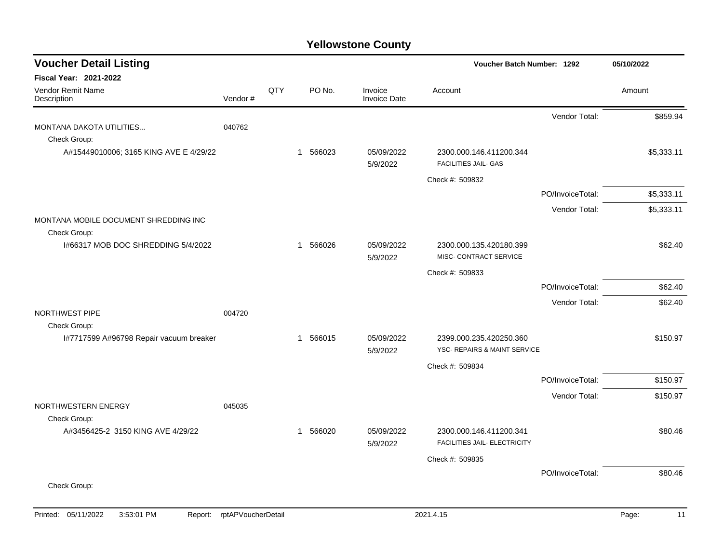| <b>Voucher Detail Listing</b>                         |         |     |                        |                                | Voucher Batch Number: 1292                              |                  | 05/10/2022 |
|-------------------------------------------------------|---------|-----|------------------------|--------------------------------|---------------------------------------------------------|------------------|------------|
| <b>Fiscal Year: 2021-2022</b>                         |         |     |                        |                                |                                                         |                  |            |
| <b>Vendor Remit Name</b><br>Description               | Vendor# | QTY | PO No.                 | Invoice<br><b>Invoice Date</b> | Account                                                 |                  | Amount     |
|                                                       |         |     |                        |                                |                                                         | Vendor Total:    | \$859.94   |
| MONTANA DAKOTA UTILITIES<br>Check Group:              | 040762  |     |                        |                                |                                                         |                  |            |
| A#15449010006; 3165 KING AVE E 4/29/22                |         |     | 566023<br>$\mathbf{1}$ | 05/09/2022<br>5/9/2022         | 2300.000.146.411200.344<br><b>FACILITIES JAIL- GAS</b>  |                  | \$5,333.11 |
|                                                       |         |     |                        |                                | Check #: 509832                                         |                  |            |
|                                                       |         |     |                        |                                |                                                         | PO/InvoiceTotal: | \$5,333.11 |
|                                                       |         |     |                        |                                |                                                         | Vendor Total:    | \$5,333.11 |
| MONTANA MOBILE DOCUMENT SHREDDING INC<br>Check Group: |         |     |                        |                                |                                                         |                  |            |
| 1#66317 MOB DOC SHREDDING 5/4/2022                    |         |     | 566026<br>$\mathbf{1}$ | 05/09/2022<br>5/9/2022         | 2300.000.135.420180.399<br>MISC- CONTRACT SERVICE       |                  | \$62.40    |
|                                                       |         |     |                        |                                | Check #: 509833                                         |                  |            |
|                                                       |         |     |                        |                                |                                                         | PO/InvoiceTotal: | \$62.40    |
|                                                       |         |     |                        |                                |                                                         | Vendor Total:    | \$62.40    |
| NORTHWEST PIPE<br>Check Group:                        | 004720  |     |                        |                                |                                                         |                  |            |
| I#7717599 A#96798 Repair vacuum breaker               |         |     | 1 566015               | 05/09/2022<br>5/9/2022         | 2399.000.235.420250.360<br>YSC- REPAIRS & MAINT SERVICE |                  | \$150.97   |
|                                                       |         |     |                        |                                | Check #: 509834                                         |                  |            |
|                                                       |         |     |                        |                                |                                                         | PO/InvoiceTotal: | \$150.97   |
|                                                       |         |     |                        |                                |                                                         | Vendor Total:    | \$150.97   |
| NORTHWESTERN ENERGY<br>Check Group:                   | 045035  |     |                        |                                |                                                         |                  |            |
| A#3456425-2 3150 KING AVE 4/29/22                     |         |     | 1 566020               | 05/09/2022<br>5/9/2022         | 2300.000.146.411200.341<br>FACILITIES JAIL- ELECTRICITY |                  | \$80.46    |
|                                                       |         |     |                        |                                | Check #: 509835                                         |                  |            |
|                                                       |         |     |                        |                                |                                                         | PO/InvoiceTotal: | \$80.46    |
| Check Group:                                          |         |     |                        |                                |                                                         |                  |            |
|                                                       |         |     |                        |                                |                                                         |                  |            |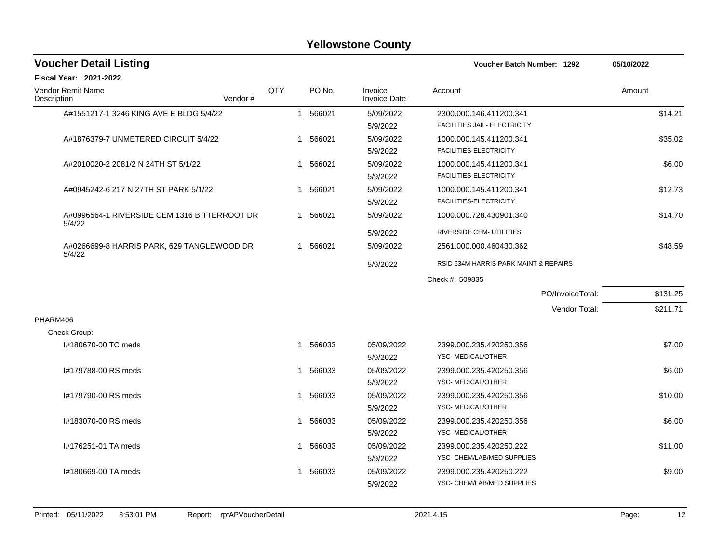| <b>Voucher Detail Listing</b>                          |         |     |              |          |                                |                   | Voucher Batch Number: 1292                              |                  |        | 05/10/2022 |  |
|--------------------------------------------------------|---------|-----|--------------|----------|--------------------------------|-------------------|---------------------------------------------------------|------------------|--------|------------|--|
| <b>Fiscal Year: 2021-2022</b>                          |         |     |              |          |                                |                   |                                                         |                  |        |            |  |
| <b>Vendor Remit Name</b><br>Description                | Vendor# | QTY |              | PO No.   | Invoice<br><b>Invoice Date</b> | Account           |                                                         |                  | Amount |            |  |
| A#1551217-1 3246 KING AVE E BLDG 5/4/22                |         |     | $\mathbf{1}$ | 566021   | 5/09/2022<br>5/9/2022          |                   | 2300.000.146.411200.341<br>FACILITIES JAIL- ELECTRICITY |                  |        | \$14.21    |  |
| A#1876379-7 UNMETERED CIRCUIT 5/4/22                   |         |     |              | 1 566021 | 5/09/2022<br>5/9/2022          |                   | 1000.000.145.411200.341<br>FACILITIES-ELECTRICITY       |                  |        | \$35.02    |  |
| A#2010020-2 2081/2 N 24TH ST 5/1/22                    |         |     | 1            | 566021   | 5/09/2022<br>5/9/2022          |                   | 1000.000.145.411200.341<br>FACILITIES-ELECTRICITY       |                  |        | \$6.00     |  |
| A#0945242-6 217 N 27TH ST PARK 5/1/22                  |         |     | 1            | 566021   | 5/09/2022<br>5/9/2022          |                   | 1000.000.145.411200.341<br>FACILITIES-ELECTRICITY       |                  |        | \$12.73    |  |
| A#0996564-1 RIVERSIDE CEM 1316 BITTERROOT DR<br>5/4/22 |         |     |              | 1 566021 | 5/09/2022                      |                   | 1000.000.728.430901.340                                 |                  |        | \$14.70    |  |
|                                                        |         |     |              |          | 5/9/2022                       |                   | RIVERSIDE CEM- UTILITIES                                |                  |        |            |  |
| A#0266699-8 HARRIS PARK, 629 TANGLEWOOD DR<br>5/4/22   |         |     |              | 1 566021 | 5/09/2022                      |                   | 2561.000.000.460430.362                                 |                  |        | \$48.59    |  |
|                                                        |         |     |              |          | 5/9/2022                       |                   | RSID 634M HARRIS PARK MAINT & REPAIRS                   |                  |        |            |  |
|                                                        |         |     |              |          |                                | Check #: 509835   |                                                         |                  |        |            |  |
|                                                        |         |     |              |          |                                |                   |                                                         | PO/InvoiceTotal: |        | \$131.25   |  |
|                                                        |         |     |              |          |                                |                   |                                                         | Vendor Total:    |        | \$211.71   |  |
| PHARM406                                               |         |     |              |          |                                |                   |                                                         |                  |        |            |  |
| Check Group:                                           |         |     |              |          |                                |                   |                                                         |                  |        |            |  |
| I#180670-00 TC meds                                    |         |     | 1            | 566033   | 05/09/2022<br>5/9/2022         | YSC-MEDICAL/OTHER | 2399.000.235.420250.356                                 |                  |        | \$7.00     |  |
| #179788-00 RS meds                                     |         |     | 1            | 566033   | 05/09/2022<br>5/9/2022         | YSC-MEDICAL/OTHER | 2399.000.235.420250.356                                 |                  |        | \$6.00     |  |
| #179790-00 RS meds                                     |         |     | $\mathbf 1$  | 566033   | 05/09/2022<br>5/9/2022         | YSC-MEDICAL/OTHER | 2399.000.235.420250.356                                 |                  |        | \$10.00    |  |
| I#183070-00 RS meds                                    |         |     | 1            | 566033   | 05/09/2022<br>5/9/2022         | YSC-MEDICAL/OTHER | 2399.000.235.420250.356                                 |                  |        | \$6.00     |  |
| #176251-01 TA meds                                     |         |     | 1            | 566033   | 05/09/2022<br>5/9/2022         |                   | 2399.000.235.420250.222<br>YSC- CHEM/LAB/MED SUPPLIES   |                  |        | \$11.00    |  |
| I#180669-00 TA meds                                    |         |     |              | 1 566033 | 05/09/2022<br>5/9/2022         |                   | 2399.000.235.420250.222<br>YSC- CHEM/LAB/MED SUPPLIES   |                  |        | \$9.00     |  |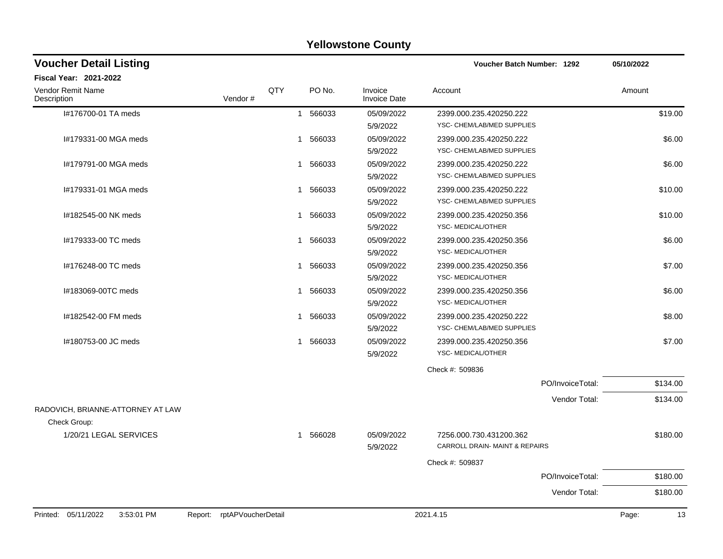| <b>Voucher Detail Listing</b>                |                    |              |          |                                | Voucher Batch Number: 1292     |                  | 05/10/2022 |          |
|----------------------------------------------|--------------------|--------------|----------|--------------------------------|--------------------------------|------------------|------------|----------|
| <b>Fiscal Year: 2021-2022</b>                |                    |              |          |                                |                                |                  |            |          |
| Vendor Remit Name<br>Description             | Vendor#            | QTY          | PO No.   | Invoice<br><b>Invoice Date</b> | Account                        |                  | Amount     |          |
| I#176700-01 TA meds                          |                    |              | 1 566033 | 05/09/2022                     | 2399.000.235.420250.222        |                  |            | \$19.00  |
|                                              |                    |              |          | 5/9/2022                       | YSC- CHEM/LAB/MED SUPPLIES     |                  |            |          |
| I#179331-00 MGA meds                         |                    | $\mathbf{1}$ | 566033   | 05/09/2022                     | 2399.000.235.420250.222        |                  |            | \$6.00   |
|                                              |                    |              |          | 5/9/2022                       | YSC- CHEM/LAB/MED SUPPLIES     |                  |            |          |
| I#179791-00 MGA meds                         |                    | $\mathbf{1}$ | 566033   | 05/09/2022                     | 2399.000.235.420250.222        |                  |            | \$6.00   |
|                                              |                    |              |          | 5/9/2022                       | YSC- CHEM/LAB/MED SUPPLIES     |                  |            |          |
| #179331-01 MGA meds                          |                    | 1            | 566033   | 05/09/2022                     | 2399.000.235.420250.222        |                  |            | \$10.00  |
|                                              |                    |              |          | 5/9/2022                       | YSC- CHEM/LAB/MED SUPPLIES     |                  |            |          |
| #182545-00 NK meds                           |                    | 1            | 566033   | 05/09/2022                     | 2399.000.235.420250.356        |                  |            | \$10.00  |
|                                              |                    |              |          | 5/9/2022                       | YSC-MEDICAL/OTHER              |                  |            |          |
| #179333-00 TC meds                           |                    | $\mathbf{1}$ | 566033   | 05/09/2022                     | 2399.000.235.420250.356        |                  |            | \$6.00   |
|                                              |                    |              |          | 5/9/2022                       | YSC-MEDICAL/OTHER              |                  |            |          |
| I#176248-00 TC meds                          |                    | 1            | 566033   | 05/09/2022                     | 2399.000.235.420250.356        |                  |            | \$7.00   |
|                                              |                    |              |          | 5/9/2022                       | YSC-MEDICAL/OTHER              |                  |            |          |
| I#183069-00TC meds                           |                    | 1            | 566033   | 05/09/2022                     | 2399.000.235.420250.356        |                  |            | \$6.00   |
|                                              |                    |              |          | 5/9/2022                       | YSC- MEDICAL/OTHER             |                  |            |          |
| I#182542-00 FM meds                          |                    | 1            | 566033   | 05/09/2022                     | 2399.000.235.420250.222        |                  |            | \$8.00   |
|                                              |                    |              |          | 5/9/2022                       | YSC- CHEM/LAB/MED SUPPLIES     |                  |            |          |
| I#180753-00 JC meds                          |                    |              | 1 566033 | 05/09/2022                     | 2399.000.235.420250.356        |                  |            | \$7.00   |
|                                              |                    |              |          | 5/9/2022                       | YSC- MEDICAL/OTHER             |                  |            |          |
|                                              |                    |              |          |                                | Check #: 509836                |                  |            |          |
|                                              |                    |              |          |                                |                                | PO/InvoiceTotal: |            | \$134.00 |
|                                              |                    |              |          |                                |                                | Vendor Total:    |            | \$134.00 |
| RADOVICH, BRIANNE-ATTORNEY AT LAW            |                    |              |          |                                |                                |                  |            |          |
| Check Group:                                 |                    |              |          |                                |                                |                  |            |          |
| 1/20/21 LEGAL SERVICES                       |                    |              | 1 566028 | 05/09/2022                     | 7256.000.730.431200.362        |                  |            | \$180.00 |
|                                              |                    |              |          | 5/9/2022                       | CARROLL DRAIN- MAINT & REPAIRS |                  |            |          |
|                                              |                    |              |          |                                | Check #: 509837                |                  |            |          |
|                                              |                    |              |          |                                |                                | PO/InvoiceTotal: |            | \$180.00 |
|                                              |                    |              |          |                                |                                | Vendor Total:    |            | \$180.00 |
| Printed: 05/11/2022<br>3:53:01 PM<br>Report: | rptAPVoucherDetail |              |          |                                | 2021.4.15                      |                  | Page:      | 13       |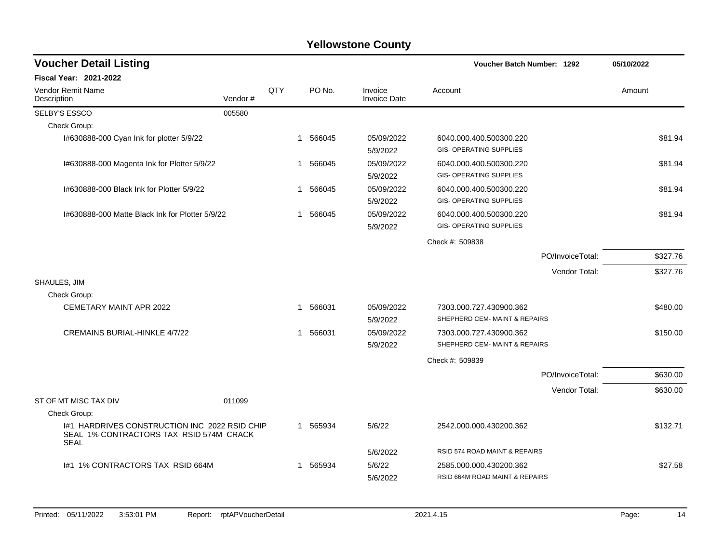| <b>Voucher Detail Listing</b>                                                                           |         |              |                        |                         | <b>Voucher Batch Number: 1292</b>                         | 05/10/2022 |
|---------------------------------------------------------------------------------------------------------|---------|--------------|------------------------|-------------------------|-----------------------------------------------------------|------------|
| <b>Fiscal Year: 2021-2022</b>                                                                           |         |              |                        |                         |                                                           |            |
| Vendor Remit Name<br>Description                                                                        | Vendor# | QTY          | PO No.                 | Invoice<br>Invoice Date | Account                                                   | Amount     |
| SELBY'S ESSCO                                                                                           | 005580  |              |                        |                         |                                                           |            |
| Check Group:                                                                                            |         |              |                        |                         |                                                           |            |
| I#630888-000 Cyan Ink for plotter 5/9/22                                                                |         |              | 1 566045               | 05/09/2022<br>5/9/2022  | 6040.000.400.500300.220<br><b>GIS- OPERATING SUPPLIES</b> | \$81.94    |
| I#630888-000 Magenta Ink for Plotter 5/9/22                                                             |         |              | 1 566045               | 05/09/2022<br>5/9/2022  | 6040.000.400.500300.220<br><b>GIS- OPERATING SUPPLIES</b> | \$81.94    |
| I#630888-000 Black Ink for Plotter 5/9/22                                                               |         | $\mathbf{1}$ | 566045                 | 05/09/2022<br>5/9/2022  | 6040.000.400.500300.220<br><b>GIS- OPERATING SUPPLIES</b> | \$81.94    |
| 1#630888-000 Matte Black Ink for Plotter 5/9/22                                                         |         |              | 566045<br>$\mathbf{1}$ | 05/09/2022<br>5/9/2022  | 6040.000.400.500300.220<br><b>GIS- OPERATING SUPPLIES</b> | \$81.94    |
|                                                                                                         |         |              |                        |                         | Check #: 509838                                           |            |
|                                                                                                         |         |              |                        |                         | PO/InvoiceTotal:                                          | \$327.76   |
|                                                                                                         |         |              |                        |                         | Vendor Total:                                             | \$327.76   |
| SHAULES, JIM                                                                                            |         |              |                        |                         |                                                           |            |
| Check Group:                                                                                            |         |              |                        |                         |                                                           |            |
| CEMETARY MAINT APR 2022                                                                                 |         | 1            | 566031                 | 05/09/2022<br>5/9/2022  | 7303.000.727.430900.362<br>SHEPHERD CEM- MAINT & REPAIRS  | \$480.00   |
| CREMAINS BURIAL-HINKLE 4/7/22                                                                           |         | 1            | 566031                 | 05/09/2022<br>5/9/2022  | 7303.000.727.430900.362<br>SHEPHERD CEM- MAINT & REPAIRS  | \$150.00   |
|                                                                                                         |         |              |                        |                         | Check #: 509839                                           |            |
|                                                                                                         |         |              |                        |                         | PO/InvoiceTotal:                                          | \$630.00   |
|                                                                                                         |         |              |                        |                         | Vendor Total:                                             | \$630.00   |
| ST OF MT MISC TAX DIV                                                                                   | 011099  |              |                        |                         |                                                           |            |
| Check Group:                                                                                            |         |              |                        |                         |                                                           |            |
| I#1 HARDRIVES CONSTRUCTION INC 2022 RSID CHIP<br>SEAL 1% CONTRACTORS TAX RSID 574M CRACK<br><b>SEAL</b> |         |              | 1 565934               | 5/6/22                  | 2542.000.000.430200.362                                   | \$132.71   |
|                                                                                                         |         |              |                        | 5/6/2022                | RSID 574 ROAD MAINT & REPAIRS                             |            |
| 1#1 1% CONTRACTORS TAX RSID 664M                                                                        |         |              | 1 565934               | 5/6/22<br>5/6/2022      | 2585.000.000.430200.362<br>RSID 664M ROAD MAINT & REPAIRS | \$27.58    |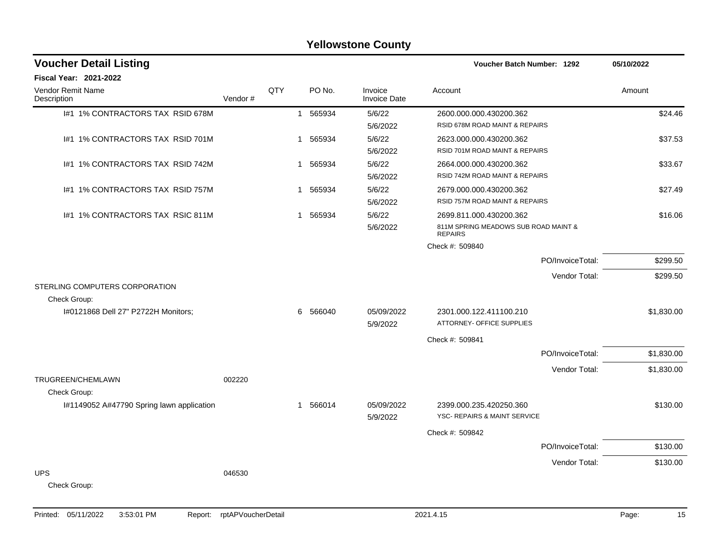| <b>Yellowstone County</b>                                 |         |     |                        |                                |                                                                                   |                  |            |  |  |
|-----------------------------------------------------------|---------|-----|------------------------|--------------------------------|-----------------------------------------------------------------------------------|------------------|------------|--|--|
| <b>Voucher Detail Listing</b>                             |         |     |                        |                                | <b>Voucher Batch Number: 1292</b>                                                 |                  | 05/10/2022 |  |  |
| Fiscal Year: 2021-2022                                    |         |     |                        |                                |                                                                                   |                  |            |  |  |
| Vendor Remit Name<br>Description                          | Vendor# | QTY | PO No.                 | Invoice<br><b>Invoice Date</b> | Account                                                                           |                  | Amount     |  |  |
| 1#1 1% CONTRACTORS TAX RSID 678M                          |         |     | 565934<br>$\mathbf{1}$ | 5/6/22<br>5/6/2022             | 2600.000.000.430200.362<br>RSID 678M ROAD MAINT & REPAIRS                         |                  | \$24.46    |  |  |
| 1#1 1% CONTRACTORS TAX RSID 701M                          |         |     | 565934<br>$\mathbf{1}$ | 5/6/22<br>5/6/2022             | 2623.000.000.430200.362<br>RSID 701M ROAD MAINT & REPAIRS                         |                  | \$37.53    |  |  |
| 1#1 1% CONTRACTORS TAX RSID 742M                          |         |     | 1 565934               | 5/6/22<br>5/6/2022             | 2664.000.000.430200.362<br>RSID 742M ROAD MAINT & REPAIRS                         |                  | \$33.67    |  |  |
| 1#1 1% CONTRACTORS TAX RSID 757M                          |         |     | 1 565934               | 5/6/22<br>5/6/2022             | 2679.000.000.430200.362<br>RSID 757M ROAD MAINT & REPAIRS                         |                  | \$27.49    |  |  |
| 1#1 1% CONTRACTORS TAX RSIC 811M                          |         |     | 1 565934               | 5/6/22<br>5/6/2022             | 2699.811.000.430200.362<br>811M SPRING MEADOWS SUB ROAD MAINT &<br><b>REPAIRS</b> |                  | \$16.06    |  |  |
|                                                           |         |     |                        |                                | Check #: 509840                                                                   |                  |            |  |  |
|                                                           |         |     |                        |                                |                                                                                   | PO/InvoiceTotal: | \$299.50   |  |  |
| STERLING COMPUTERS CORPORATION                            |         |     |                        |                                |                                                                                   | Vendor Total:    | \$299.50   |  |  |
| Check Group:                                              |         |     |                        |                                |                                                                                   |                  |            |  |  |
| I#0121868 Dell 27" P2722H Monitors;                       |         |     | 566040<br>6            | 05/09/2022<br>5/9/2022         | 2301.000.122.411100.210<br>ATTORNEY- OFFICE SUPPLIES                              |                  | \$1,830.00 |  |  |
|                                                           |         |     |                        |                                | Check #: 509841                                                                   |                  |            |  |  |
|                                                           |         |     |                        |                                |                                                                                   | PO/InvoiceTotal: | \$1,830.00 |  |  |
| TRUGREEN/CHEMLAWN                                         | 002220  |     |                        |                                |                                                                                   | Vendor Total:    | \$1,830.00 |  |  |
| Check Group:<br>I#1149052 A#47790 Spring lawn application |         |     | 1 566014               | 05/09/2022<br>5/9/2022         | 2399.000.235.420250.360<br>YSC- REPAIRS & MAINT SERVICE                           |                  | \$130.00   |  |  |
|                                                           |         |     |                        |                                | Check #: 509842                                                                   |                  |            |  |  |
|                                                           |         |     |                        |                                |                                                                                   | PO/InvoiceTotal: | \$130.00   |  |  |
| <b>UPS</b>                                                |         |     |                        |                                |                                                                                   | Vendor Total:    | \$130.00   |  |  |
| Check Group:                                              | 046530  |     |                        |                                |                                                                                   |                  |            |  |  |

Printed: 05/11/2022 3:53:01 PM Report: rptAPVoucherDetail 2021.4.15 2021.4.15 Page: 15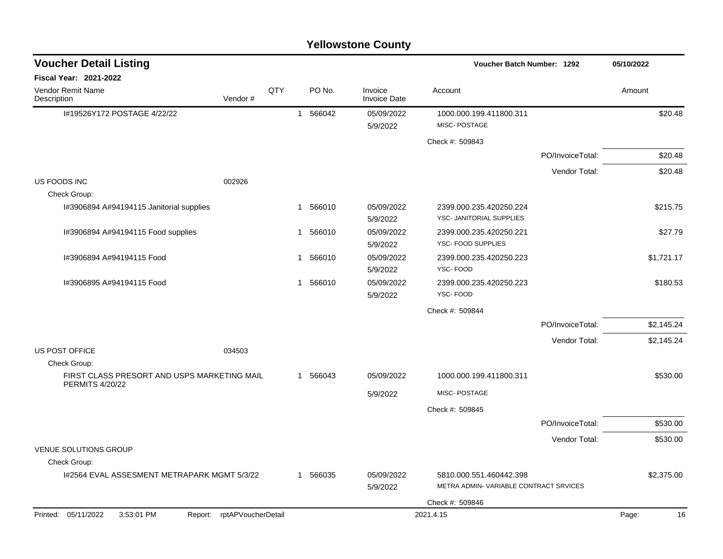| <b>Voucher Detail Listing</b>                |                            |     |                |          |                                | <b>Voucher Batch Number: 1292</b>                                |                  | 05/10/2022  |
|----------------------------------------------|----------------------------|-----|----------------|----------|--------------------------------|------------------------------------------------------------------|------------------|-------------|
| Fiscal Year: 2021-2022                       |                            |     |                |          |                                |                                                                  |                  |             |
| Vendor Remit Name<br>Description             | Vendor#                    | QTY |                | PO No.   | Invoice<br><b>Invoice Date</b> | Account                                                          |                  | Amount      |
| I#19526Y172 POSTAGE 4/22/22                  |                            |     | $\overline{1}$ | 566042   | 05/09/2022<br>5/9/2022         | 1000.000.199.411800.311<br>MISC-POSTAGE                          |                  | \$20.48     |
|                                              |                            |     |                |          |                                | Check #: 509843                                                  |                  |             |
|                                              |                            |     |                |          |                                |                                                                  | PO/InvoiceTotal: | \$20.48     |
|                                              |                            |     |                |          |                                |                                                                  | Vendor Total:    | \$20.48     |
| US FOODS INC                                 | 002926                     |     |                |          |                                |                                                                  |                  |             |
| Check Group:                                 |                            |     | $\mathbf{1}$   | 566010   | 05/09/2022                     | 2399.000.235.420250.224                                          |                  | \$215.75    |
| I#3906894 A#94194115 Janitorial supplies     |                            |     |                |          | 5/9/2022                       | YSC- JANITORIAL SUPPLIES                                         |                  |             |
| I#3906894 A#94194115 Food supplies           |                            |     | 1              | 566010   | 05/09/2022<br>5/9/2022         | 2399.000.235.420250.221<br>YSC- FOOD SUPPLIES                    |                  | \$27.79     |
| I#3906894 A#94194115 Food                    |                            |     | -1             | 566010   | 05/09/2022<br>5/9/2022         | 2399.000.235.420250.223<br>YSC-FOOD                              |                  | \$1,721.17  |
| I#3906895 A#94194115 Food                    |                            |     | -1             | 566010   | 05/09/2022<br>5/9/2022         | 2399.000.235.420250.223<br>YSC-FOOD                              |                  | \$180.53    |
|                                              |                            |     |                |          |                                | Check #: 509844                                                  |                  |             |
|                                              |                            |     |                |          |                                |                                                                  | PO/InvoiceTotal: | \$2,145.24  |
|                                              |                            |     |                |          |                                |                                                                  | Vendor Total:    | \$2,145.24  |
| US POST OFFICE<br>Check Group:               | 034503                     |     |                |          |                                |                                                                  |                  |             |
| FIRST CLASS PRESORT AND USPS MARKETING MAIL  |                            |     |                | 1 566043 | 05/09/2022                     | 1000.000.199.411800.311                                          |                  | \$530.00    |
| <b>PERMITS 4/20/22</b>                       |                            |     |                |          | 5/9/2022                       | MISC- POSTAGE                                                    |                  |             |
|                                              |                            |     |                |          |                                | Check #: 509845                                                  |                  |             |
|                                              |                            |     |                |          |                                |                                                                  | PO/InvoiceTotal: | \$530.00    |
|                                              |                            |     |                |          |                                |                                                                  | Vendor Total:    | \$530.00    |
| <b>VENUE SOLUTIONS GROUP</b><br>Check Group: |                            |     |                |          |                                |                                                                  |                  |             |
| 1#2564 EVAL ASSESMENT METRAPARK MGMT 5/3/22  |                            |     |                | 1 566035 | 05/09/2022<br>5/9/2022         | 5810.000.551.460442.398<br>METRA ADMIN-VARIABLE CONTRACT SRVICES |                  | \$2,375.00  |
|                                              |                            |     |                |          |                                | Check #: 509846                                                  |                  |             |
| Printed: 05/11/2022<br>3:53:01 PM            | Report: rptAPVoucherDetail |     |                |          |                                | 2021.4.15                                                        |                  | 16<br>Page: |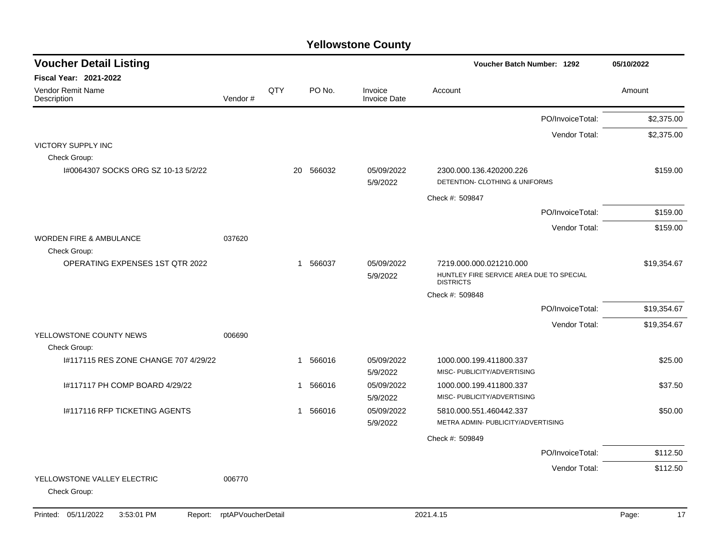| <b>Voucher Detail Listing</b>                |                    |     |           |                                | Voucher Batch Number: 1292                                                              | 05/10/2022  |
|----------------------------------------------|--------------------|-----|-----------|--------------------------------|-----------------------------------------------------------------------------------------|-------------|
| <b>Fiscal Year: 2021-2022</b>                |                    |     |           |                                |                                                                                         |             |
| Vendor Remit Name<br>Description             | Vendor#            | QTY | PO No.    | Invoice<br><b>Invoice Date</b> | Account                                                                                 | Amount      |
|                                              |                    |     |           |                                | PO/InvoiceTotal:                                                                        | \$2,375.00  |
|                                              |                    |     |           |                                | Vendor Total:                                                                           | \$2,375.00  |
| <b>VICTORY SUPPLY INC</b>                    |                    |     |           |                                |                                                                                         |             |
| Check Group:                                 |                    |     |           |                                |                                                                                         |             |
| I#0064307 SOCKS ORG SZ 10-13 5/2/22          |                    |     | 20 566032 | 05/09/2022<br>5/9/2022         | 2300.000.136.420200.226<br>DETENTION- CLOTHING & UNIFORMS                               | \$159.00    |
|                                              |                    |     |           |                                | Check #: 509847                                                                         |             |
|                                              |                    |     |           |                                | PO/InvoiceTotal:                                                                        | \$159.00    |
|                                              |                    |     |           |                                | Vendor Total:                                                                           | \$159.00    |
| <b>WORDEN FIRE &amp; AMBULANCE</b>           | 037620             |     |           |                                |                                                                                         |             |
| Check Group:                                 |                    |     |           |                                |                                                                                         |             |
| <b>OPERATING EXPENSES 1ST QTR 2022</b>       |                    |     | 1 566037  | 05/09/2022<br>5/9/2022         | 7219.000.000.021210.000<br>HUNTLEY FIRE SERVICE AREA DUE TO SPECIAL<br><b>DISTRICTS</b> | \$19,354.67 |
|                                              |                    |     |           |                                | Check #: 509848                                                                         |             |
|                                              |                    |     |           |                                | PO/InvoiceTotal:                                                                        | \$19,354.67 |
|                                              |                    |     |           |                                | Vendor Total:                                                                           | \$19,354.67 |
| YELLOWSTONE COUNTY NEWS<br>Check Group:      | 006690             |     |           |                                |                                                                                         |             |
| 1#117115 RES ZONE CHANGE 707 4/29/22         |                    |     | 1 566016  | 05/09/2022<br>5/9/2022         | 1000.000.199.411800.337<br>MISC- PUBLICITY/ADVERTISING                                  | \$25.00     |
| 1#117117 PH COMP BOARD 4/29/22               |                    |     | 1 566016  | 05/09/2022<br>5/9/2022         | 1000.000.199.411800.337<br>MISC- PUBLICITY/ADVERTISING                                  | \$37.50     |
| I#117116 RFP TICKETING AGENTS                |                    |     | 1 566016  | 05/09/2022<br>5/9/2022         | 5810.000.551.460442.337<br>METRA ADMIN- PUBLICITY/ADVERTISING                           | \$50.00     |
|                                              |                    |     |           |                                | Check #: 509849                                                                         |             |
|                                              |                    |     |           |                                | PO/InvoiceTotal:                                                                        | \$112.50    |
|                                              |                    |     |           |                                | Vendor Total:                                                                           | \$112.50    |
| YELLOWSTONE VALLEY ELECTRIC<br>Check Group:  | 006770             |     |           |                                |                                                                                         |             |
| Printed: 05/11/2022<br>3:53:01 PM<br>Report: | rptAPVoucherDetail |     |           |                                | 2021.4.15                                                                               | 17<br>Page: |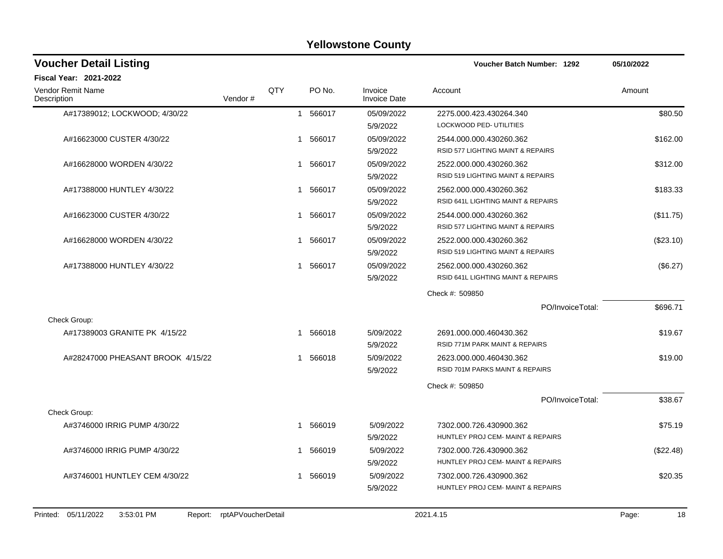| QTY<br>Vendor# | 1 | PO No.<br>1 566017<br>566017 | Invoice<br><b>Invoice Date</b><br>05/09/2022<br>5/9/2022<br>05/09/2022                           | Account<br>2275.000.423.430264.340<br>LOCKWOOD PED- UTILITIES           | Amount<br>\$80.50 |
|----------------|---|------------------------------|--------------------------------------------------------------------------------------------------|-------------------------------------------------------------------------|-------------------|
|                |   |                              |                                                                                                  |                                                                         |                   |
|                |   |                              |                                                                                                  |                                                                         |                   |
|                |   |                              |                                                                                                  |                                                                         |                   |
|                |   |                              | 5/9/2022                                                                                         | 2544.000.000.430260.362<br>RSID 577 LIGHTING MAINT & REPAIRS            | \$162.00          |
|                | 1 | 566017                       | 05/09/2022<br>5/9/2022                                                                           | 2522.000.000.430260.362<br><b>RSID 519 LIGHTING MAINT &amp; REPAIRS</b> | \$312.00          |
|                | 1 |                              | 05/09/2022<br>5/9/2022                                                                           | 2562.000.000.430260.362<br>RSID 641L LIGHTING MAINT & REPAIRS           | \$183.33          |
|                | 1 |                              | 05/09/2022<br>5/9/2022                                                                           | 2544.000.000.430260.362<br>RSID 577 LIGHTING MAINT & REPAIRS            | (\$11.75)         |
|                |   |                              | 05/09/2022<br>5/9/2022                                                                           | 2522.000.000.430260.362<br>RSID 519 LIGHTING MAINT & REPAIRS            | (\$23.10)         |
|                |   |                              | 05/09/2022<br>5/9/2022                                                                           | 2562.000.000.430260.362<br>RSID 641L LIGHTING MAINT & REPAIRS           | (\$6.27)          |
|                |   |                              |                                                                                                  | Check #: 509850                                                         |                   |
|                |   |                              |                                                                                                  | PO/InvoiceTotal:                                                        | \$696.71          |
|                |   |                              |                                                                                                  |                                                                         |                   |
|                |   |                              | 5/09/2022<br>5/9/2022                                                                            | 2691.000.000.460430.362<br>RSID 771M PARK MAINT & REPAIRS               | \$19.67           |
|                |   |                              | 5/09/2022<br>5/9/2022                                                                            | 2623.000.000.460430.362<br>RSID 701M PARKS MAINT & REPAIRS              | \$19.00           |
|                |   |                              |                                                                                                  | Check #: 509850                                                         |                   |
|                |   |                              |                                                                                                  | PO/InvoiceTotal:                                                        | \$38.67           |
|                |   |                              |                                                                                                  |                                                                         |                   |
|                |   |                              | 5/09/2022<br>5/9/2022                                                                            | 7302.000.726.430900.362<br>HUNTLEY PROJ CEM- MAINT & REPAIRS            | \$75.19           |
|                |   |                              | 5/09/2022<br>5/9/2022                                                                            | 7302.000.726.430900.362<br>HUNTLEY PROJ CEM- MAINT & REPAIRS            | (\$22.48)         |
|                | 1 |                              | 5/09/2022<br>5/9/2022                                                                            | 7302.000.726.430900.362<br>HUNTLEY PROJ CEM- MAINT & REPAIRS            | \$20.35           |
|                |   |                              | 566017<br>566017<br>1 566017<br>1 566017<br>1 566018<br>1 566018<br>1 566019<br>566019<br>566019 |                                                                         |                   |

Printed: 05/11/2022 3:53:01 PM Report: rptAPVoucherDetail 2021.4.15 2021.4.15 Page: 18